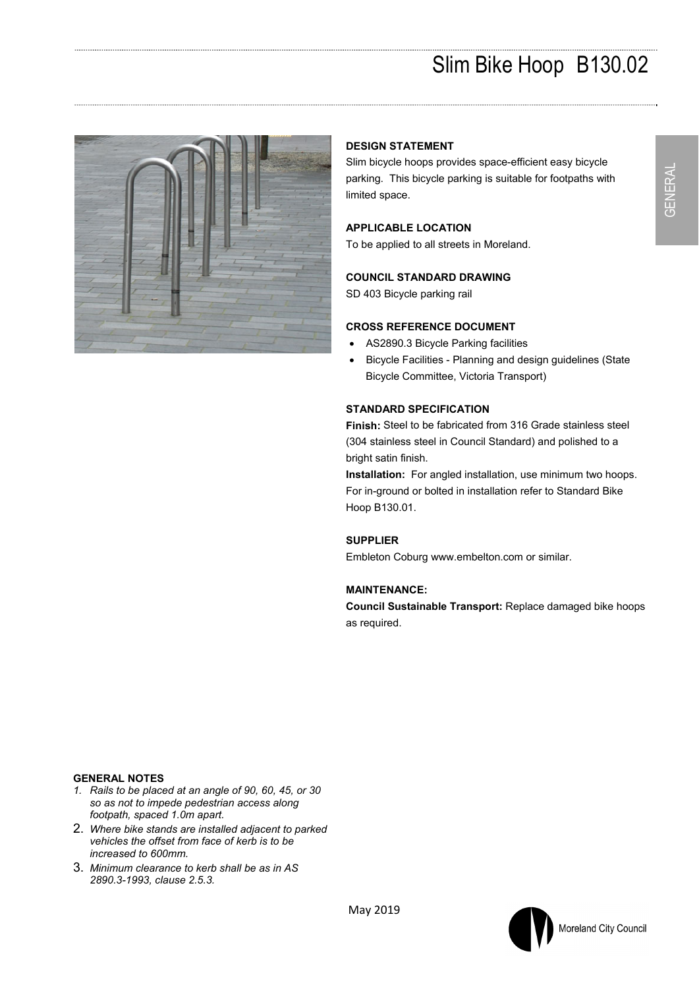

# **DESIGN STATEMENT**

Slim bicycle hoops provides space-efficient easy bicycle parking. This bicycle parking is suitable for footpaths with limited space.

# **APPLICABLE LOCATION**

To be applied to all streets in Moreland.

# **COUNCIL STANDARD DRAWING**

SD 403 Bicycle parking rail

#### **CROSS REFERENCE DOCUMENT**

- AS2890.3 Bicycle Parking facilities
- Bicycle Facilities Planning and design guidelines (State Bicycle Committee, Victoria Transport)

### **STANDARD SPECIFICATION**

**Finish:** Steel to be fabricated from 316 Grade stainless steel (304 stainless steel in Council Standard) and polished to a bright satin finish.

**Installation:** For angled installation, use minimum two hoops. For in-ground or bolted in installation refer to Standard Bike Hoop B130.01.

### **SUPPLIER**

Embleton Coburg www.embelton.com or similar.

#### **MAINTENANCE:**

**Council Sustainable Transport:** Replace damaged bike hoops as required.

## **GENERAL NOTES**

- *1. Rails to be placed at an angle of 90, 60, 45, or 30 so as not to impede pedestrian access along footpath, spaced 1.0m apart.*
- 2. *Where bike stands are installed adjacent to parked vehicles the offset from face of kerb is to be increased to 600mm.*
- 3. *Minimum clearance to kerb shall be as in AS 2890.3-1993, clause 2.5.3.*